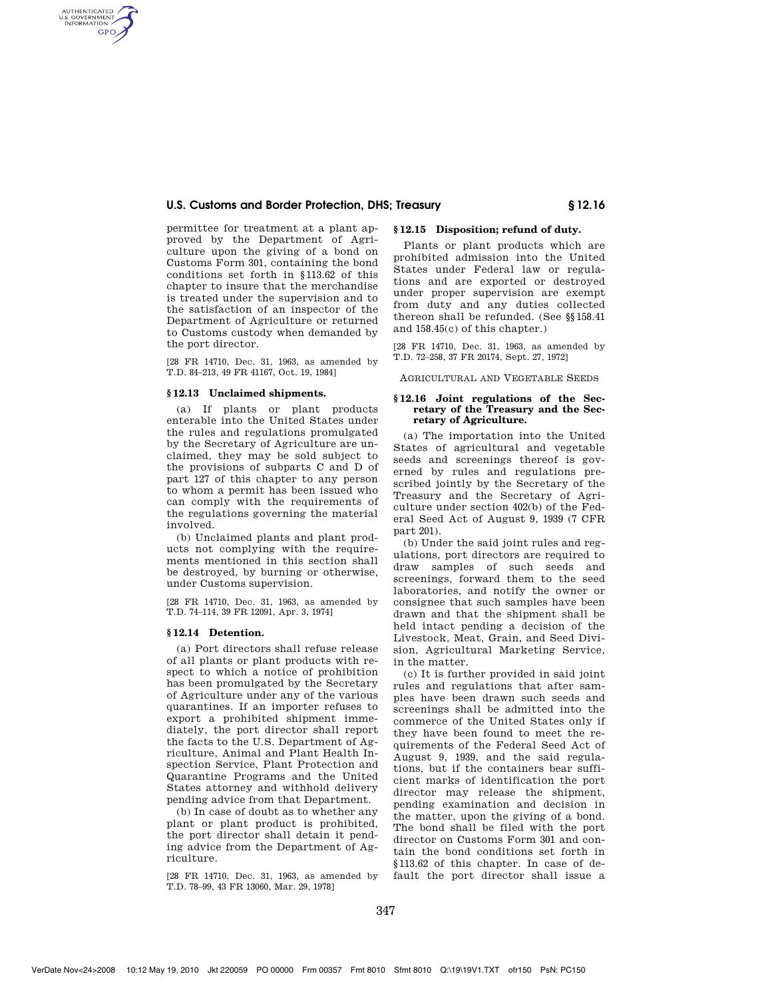# **U.S. Customs and Border Protection, DHS; Treasury § 12.16**

permittee for treatment at a plant approved by the Department of Agriculture upon the giving of a bond on Customs Form 301, containing the bond conditions set forth in §113.62 of this chapter to insure that the merchandise is treated under the supervision and to the satisfaction of an inspector of the Department of Agriculture or returned to Customs custody when demanded by the port director.

[28 FR 14710, Dec. 31, 1963, as amended by T.D. 84–213, 49 FR 41167, Oct. 19, 1984]

## **§ 12.13 Unclaimed shipments.**

AUTHENTICATED<br>U.S. GOVERNMENT<br>INFORMATION **GPO** 

> (a) If plants or plant products enterable into the United States under the rules and regulations promulgated by the Secretary of Agriculture are unclaimed, they may be sold subject to the provisions of subparts C and D of part 127 of this chapter to any person to whom a permit has been issued who can comply with the requirements of the regulations governing the material involved.

(b) Unclaimed plants and plant products not complying with the requirements mentioned in this section shall be destroyed, by burning or otherwise, under Customs supervision.

[28 FR 14710, Dec. 31, 1963, as amended by T.D. 74–114, 39 FR 12091, Apr. 3, 1974]

## **§ 12.14 Detention.**

(a) Port directors shall refuse release of all plants or plant products with respect to which a notice of prohibition has been promulgated by the Secretary of Agriculture under any of the various quarantines. If an importer refuses to export a prohibited shipment immediately, the port director shall report the facts to the U.S. Department of Agriculture, Animal and Plant Health Inspection Service, Plant Protection and Quarantine Programs and the United States attorney and withhold delivery pending advice from that Department.

(b) In case of doubt as to whether any plant or plant product is prohibited, the port director shall detain it pending advice from the Department of Agriculture.

[28 FR 14710, Dec. 31, 1963, as amended by T.D. 78–99, 43 FR 13060, Mar. 29, 1978]

## **§ 12.15 Disposition; refund of duty.**

Plants or plant products which are prohibited admission into the United States under Federal law or regulations and are exported or destroyed under proper supervision are exempt from duty and any duties collected thereon shall be refunded. (See §§158.41 and 158.45(c) of this chapter.)

[28 FR 14710, Dec. 31, 1963, as amended by T.D. 72–258, 37 FR 20174, Sept. 27, 1972]

AGRICULTURAL AND VEGETABLE SEEDS

### **§ 12.16 Joint regulations of the Secretary of the Treasury and the Secretary of Agriculture.**

(a) The importation into the United States of agricultural and vegetable seeds and screenings thereof is governed by rules and regulations prescribed jointly by the Secretary of the Treasury and the Secretary of Agriculture under section 402(b) of the Federal Seed Act of August 9, 1939 (7 CFR part 201).

(b) Under the said joint rules and regulations, port directors are required to draw samples of such seeds and screenings, forward them to the seed laboratories, and notify the owner or consignee that such samples have been drawn and that the shipment shall be held intact pending a decision of the Livestock, Meat, Grain, and Seed Division, Agricultural Marketing Service, in the matter.

(c) It is further provided in said joint rules and regulations that after samples have been drawn such seeds and screenings shall be admitted into the commerce of the United States only if they have been found to meet the requirements of the Federal Seed Act of August 9, 1939, and the said regulations, but if the containers bear sufficient marks of identification the port director may release the shipment, pending examination and decision in the matter, upon the giving of a bond. The bond shall be filed with the port director on Customs Form 301 and contain the bond conditions set forth in §113.62 of this chapter. In case of default the port director shall issue a